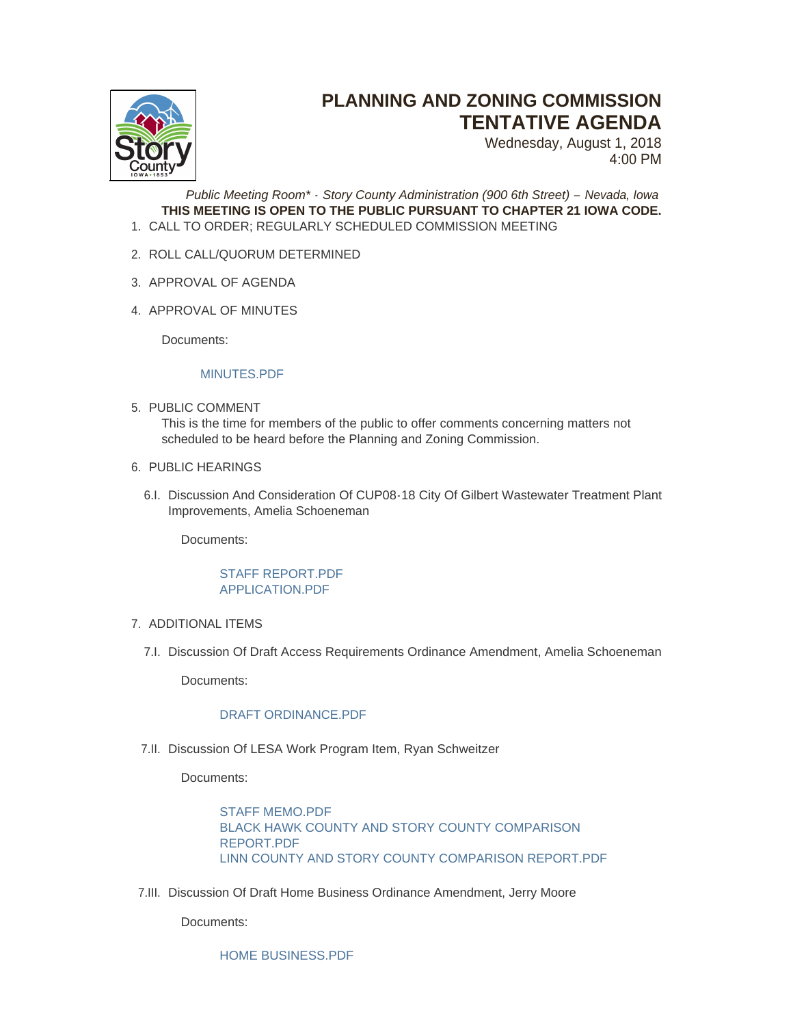

# **PLANNING AND ZONING COMMISSION TENTATIVE AGENDA**

Wednesday, August 1, 2018 4:00 PM

*Public Meeting Room\* - Story County Administration (900 6th Street) – Nevada, Iowa* **THIS MEETING IS OPEN TO THE PUBLIC PURSUANT TO CHAPTER 21 IOWA CODE.** CALL TO ORDER; REGULARLY SCHEDULED COMMISSION MEETING 1.

- 2. ROLL CALL/QUORUM DETERMINED
- 3. APPROVAL OF AGENDA
- 4. APPROVAL OF MINUTES

Documents:

# MINUTES PDF

- 5. PUBLIC COMMENT This is the time for members of the public to offer comments concerning matters not scheduled to be heard before the Planning and Zoning Commission.
- 6. PUBLIC HEARINGS
	- 6.I. Discussion And Consideration Of CUP08-18 City Of Gilbert Wastewater Treatment Plant Improvements, Amelia Schoeneman

Documents:

# STAFF REPORT PDF [APPLICATION.PDF](http://www.storycountyiowa.gov/AgendaCenter/ViewFile/Item/12462?fileID=9443)

- 7. ADDITIONAL ITEMS
	- 7.I. Discussion Of Draft Access Requirements Ordinance Amendment, Amelia Schoeneman

Documents:

# [DRAFT ORDINANCE.PDF](http://www.storycountyiowa.gov/AgendaCenter/ViewFile/Item/12463?fileID=9444)

7.II. Discussion Of LESA Work Program Item, Ryan Schweitzer

Documents:

[STAFF MEMO.PDF](http://www.storycountyiowa.gov/AgendaCenter/ViewFile/Item/12465?fileID=9446) [BLACK HAWK COUNTY AND STORY COUNTY COMPARISON](http://www.storycountyiowa.gov/AgendaCenter/ViewFile/Item/12465?fileID=9447)  REPORT.PDF [LINN COUNTY AND STORY COUNTY COMPARISON REPORT.PDF](http://www.storycountyiowa.gov/AgendaCenter/ViewFile/Item/12465?fileID=9448)

7.III. Discussion Of Draft Home Business Ordinance Amendment, Jerry Moore

Documents:

[HOME BUSINESS.PDF](http://www.storycountyiowa.gov/AgendaCenter/ViewFile/Item/12464?fileID=9445)